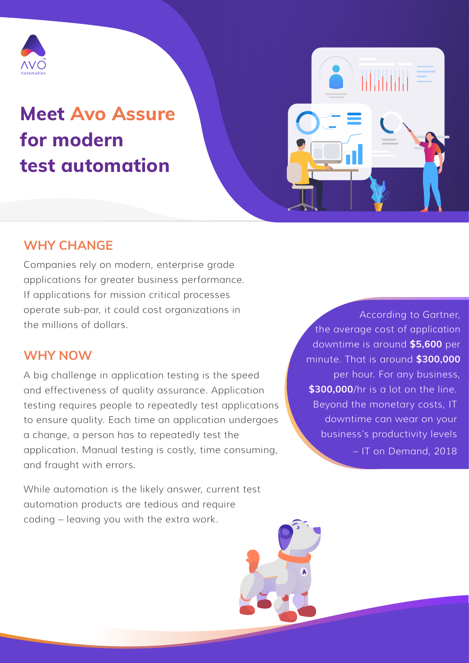

# **Meet Avo Assure for modern test automation**

## **WHY CHANGE**

Companies rely on modern, enterprise grade applications for greater business performance. If applications for mission critical processes operate sub-par, it could cost organizations in the millions of dollars.

#### **WHY NOW**

A big challenge in application testing is the speed and effectiveness of quality assurance. Application testing requires people to repeatedly test applications to ensure quality. Each time an application undergoes a change, a person has to repeatedly test the application. Manual testing is costly, time consuming, and fraught with errors.

While automation is the likely answer, current test automation products are tedious and require coding – leaving you with the extra work.

www.sitehere.com

According to Gartner, the average cost of application downtime is around **\$5,600** per minute. That is around **\$300,000** per hour. For any business, **\$300,000**/hr is a lot on the line. Beyond the monetary costs, IT downtime can wear on your business's productivity levels – IT on Demand, 2018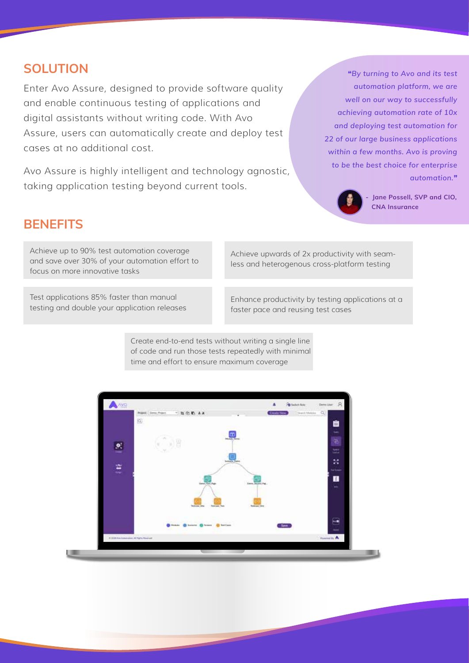#### **SOLUTION**

Enter Avo Assure, designed to provide software quality and enable continuous testing of applications and digital assistants without writing code. With Avo Assure, users can automatically create and deploy test cases at no additional cost.

Avo Assure is highly intelligent and technology agnostic, taking application testing beyond current tools.

*"By turning to Avo and its test automation platform, we are well on our way to successfully achieving automation rate of 10x and deploying test automation for 22 of our large business applications within a few months. Avo is proving to be the best choice for enterprise automation."*



**- Jane Possell, SVP and CIO, CNA Insurance**

## **BENEFITS**

Achieve up to 90% test automation coverage and save over 30% of your automation effort to focus on more innovative tasks

Test applications 85% faster than manual testing and double your application releases Achieve upwards of 2x productivity with seamless and heterogenous cross-platform testing

Enhance productivity by testing applications at a faster pace and reusing test cases

Create end-to-end tests without writing a single line of code and run those tests repeatedly with minimal time and effort to ensure maximum coverage

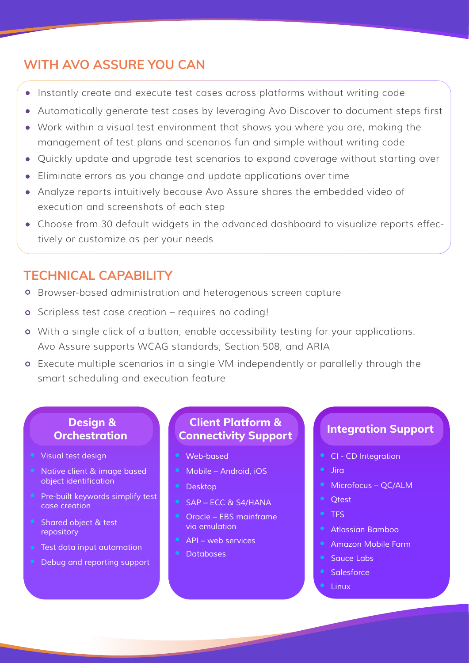## **WITH AVO ASSURE YOU CAN**

- Instantly create and execute test cases across platforms without writing code
- Automatically generate test cases by leveraging Avo Discover to document steps first
- Work within a visual test environment that shows you where you are, making the management of test plans and scenarios fun and simple without writing code
- Quickly update and upgrade test scenarios to expand coverage without starting over
- Eliminate errors as you change and update applications over time
- Analyze reports intuitively because Avo Assure shares the embedded video of execution and screenshots of each step
- Choose from 30 default widgets in the advanced dashboard to visualize reports effectively or customize as per your needs

## **TECHNICAL CAPABILITY**

- Browser-based administration and heterogenous screen capture
- o Scripless test case creation requires no coding!
- With a single click of a button, enable accessibility testing for your applications. Avo Assure supports WCAG standards, Section 508, and ARIA
- Execute multiple scenarios in a single VM independently or parallelly through the smart scheduling and execution feature

#### **Design & Orchestration**

- *Visual test design*
- *Native client & image based object identification*
- *Pre-built keywords simplify test case creation*
- *Shared object & test repository*
- *Test data input automation*
- *Debug and reporting support*

#### **Client Platform & Connectivity Support**

- *Web-based*
- *Mobile Android, iOS*
- *Desktop*
- *SAP ECC & S4/HANA*
- *Oracle EBS mainframe via emulation*
- *API web services*
- *Databases*

#### **Integration Support**

- *CI CD Integration*
- *Jira*
- *Microfocus QC/ALM*
- *Qtest*
- *TFS*
- *Atlassian Bamboo*
- *Amazon Mobile Farm*
- **Sauce Labs**
- *Salesforce*
- *Linux*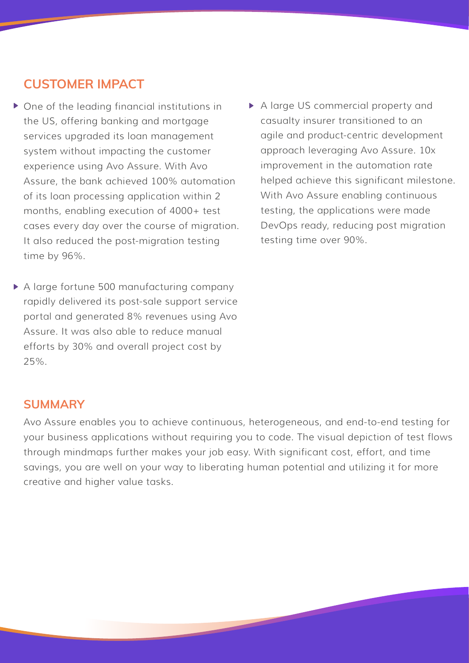## **CUSTOMER IMPACT**

- ▶ One of the leading financial institutions in the US, offering banking and mortgage services upgraded its loan management system without impacting the customer experience using Avo Assure. With Avo Assure, the bank achieved 100% automation of its loan processing application within 2 months, enabling execution of 4000+ test cases every day over the course of migration. It also reduced the post-migration testing time by 96%.
- A large fortune 500 manufacturing company rapidly delivered its post-sale support service portal and generated 8% revenues using Avo Assure. It was also able to reduce manual efforts by 30% and overall project cost by 25%.
- A large US commercial property and casualty insurer transitioned to an agile and product-centric development approach leveraging Avo Assure. 10x improvement in the automation rate helped achieve this significant milestone. With Avo Assure enabling continuous testing, the applications were made DevOps ready, reducing post migration testing time over 90%.

#### **SUMMARY**

Avo Assure enables you to achieve continuous, heterogeneous, and end-to-end testing for your business applications without requiring you to code. The visual depiction of test flows through mindmaps further makes your job easy. With significant cost, effort, and time savings, you are well on your way to liberating human potential and utilizing it for more creative and higher value tasks.